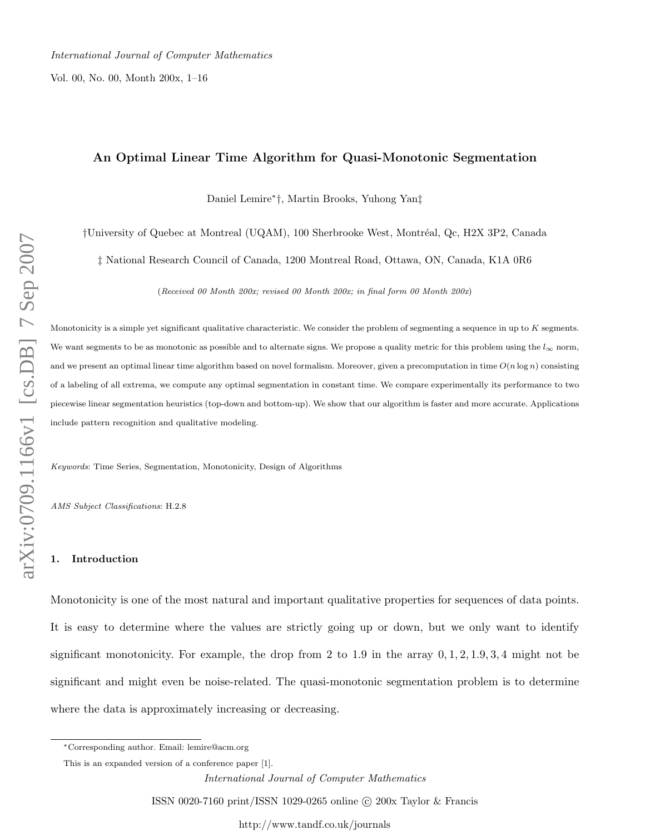Vol. 00, No. 00, Month 200x, 1–16

# An Optimal Linear Time Algorithm for Quasi-Monotonic Segmentation

Daniel Lemire<sup>∗</sup> †, Martin Brooks, Yuhong Yan‡

†University of Quebec at Montreal (UQAM), 100 Sherbrooke West, Montr´eal, Qc, H2X 3P2, Canada

‡ National Research Council of Canada, 1200 Montreal Road, Ottawa, ON, Canada, K1A 0R6

(Received 00 Month 200x; revised 00 Month 200x; in final form 00 Month 200x)

Monotonicity is a simple yet significant qualitative characteristic. We consider the problem of segmenting a sequence in up to K segments. We want segments to be as monotonic as possible and to alternate signs. We propose a quality metric for this problem using the  $l_{\infty}$  norm, and we present an optimal linear time algorithm based on novel formalism. Moreover, given a precomputation in time  $O(n \log n)$  consisting of a labeling of all extrema, we compute any optimal segmentation in constant time. We compare experimentally its performance to two piecewise linear segmentation heuristics (top-down and bottom-up). We show that our algorithm is faster and more accurate. Applications include pattern recognition and qualitative modeling.

Keywords: Time Series, Segmentation, Monotonicity, Design of Algorithms

AMS Subject Classifications: H.2.8

# 1. Introduction

Monotonicity is one of the most natural and important qualitative properties for sequences of data points. It is easy to determine where the values are strictly going up or down, but we only want to identify significant monotonicity. For example, the drop from 2 to 1.9 in the array  $0, 1, 2, 1.9, 3, 4$  might not be significant and might even be noise-related. The quasi-monotonic segmentation problem is to determine where the data is approximately increasing or decreasing.

ISSN 0020-7160 print/ISSN 1029-0265 online © 200x Taylor & Francis

<sup>∗</sup>Corresponding author. Email: lemire@acm.org

This is an expanded version of a conference paper [1].

International Journal of Computer Mathematics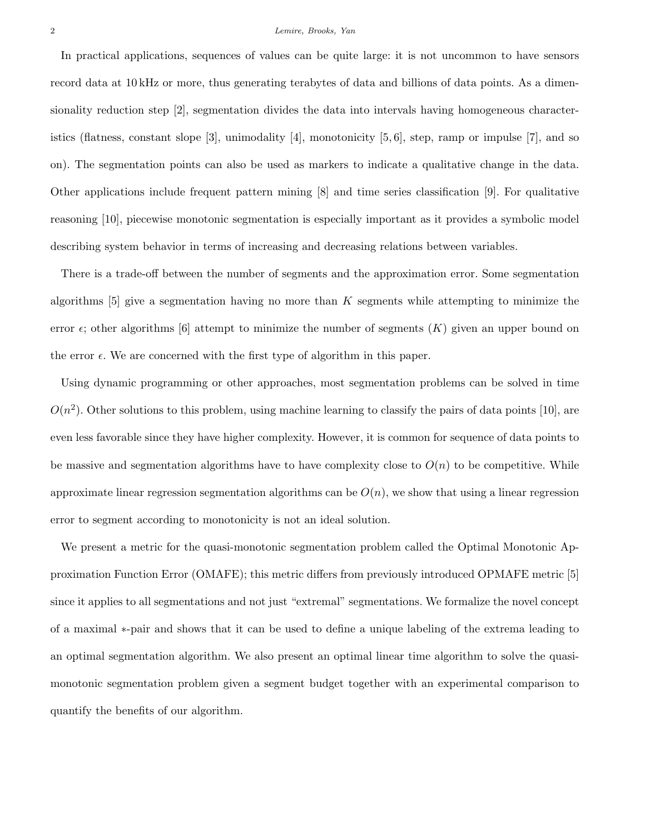#### 2 Lemire, Brooks, Yan

In practical applications, sequences of values can be quite large: it is not uncommon to have sensors record data at 10 kHz or more, thus generating terabytes of data and billions of data points. As a dimensionality reduction step [2], segmentation divides the data into intervals having homogeneous characteristics (flatness, constant slope [3], unimodality [4], monotonicity [5, 6], step, ramp or impulse [7], and so on). The segmentation points can also be used as markers to indicate a qualitative change in the data. Other applications include frequent pattern mining [8] and time series classification [9]. For qualitative reasoning [10], piecewise monotonic segmentation is especially important as it provides a symbolic model describing system behavior in terms of increasing and decreasing relations between variables.

There is a trade-off between the number of segments and the approximation error. Some segmentation algorithms  $[5]$  give a segmentation having no more than K segments while attempting to minimize the error  $\epsilon$ ; other algorithms [6] attempt to minimize the number of segments  $(K)$  given an upper bound on the error  $\epsilon$ . We are concerned with the first type of algorithm in this paper.

Using dynamic programming or other approaches, most segmentation problems can be solved in time  $O(n^2)$ . Other solutions to this problem, using machine learning to classify the pairs of data points [10], are even less favorable since they have higher complexity. However, it is common for sequence of data points to be massive and segmentation algorithms have to have complexity close to  $O(n)$  to be competitive. While approximate linear regression segmentation algorithms can be  $O(n)$ , we show that using a linear regression error to segment according to monotonicity is not an ideal solution.

We present a metric for the quasi-monotonic segmentation problem called the Optimal Monotonic Approximation Function Error (OMAFE); this metric differs from previously introduced OPMAFE metric [5] since it applies to all segmentations and not just "extremal" segmentations. We formalize the novel concept of a maximal ∗-pair and shows that it can be used to define a unique labeling of the extrema leading to an optimal segmentation algorithm. We also present an optimal linear time algorithm to solve the quasimonotonic segmentation problem given a segment budget together with an experimental comparison to quantify the benefits of our algorithm.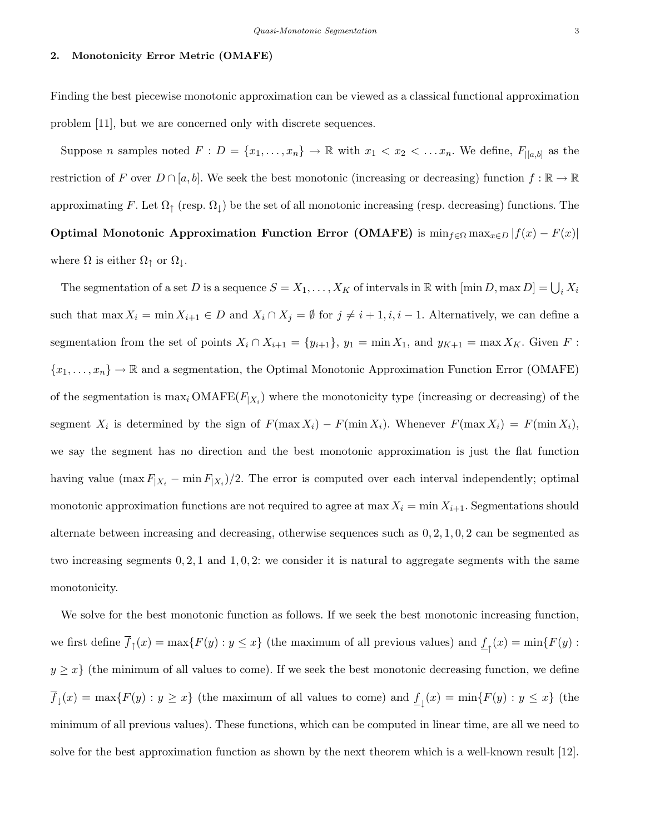# 2. Monotonicity Error Metric (OMAFE)

Finding the best piecewise monotonic approximation can be viewed as a classical functional approximation problem [11], but we are concerned only with discrete sequences.

Suppose *n* samples noted  $F: D = \{x_1, \ldots, x_n\} \to \mathbb{R}$  with  $x_1 < x_2 < \ldots x_n$ . We define,  $F_{|[a,b]}$  as the restriction of F over  $D \cap [a, b]$ . We seek the best monotonic (increasing or decreasing) function  $f : \mathbb{R} \to \mathbb{R}$ approximating F. Let  $\Omega_{\uparrow}$  (resp.  $\Omega_{\downarrow}$ ) be the set of all monotonic increasing (resp. decreasing) functions. The Optimal Monotonic Approximation Function Error (OMAFE) is  $\min_{f \in \Omega} \max_{x \in D} |f(x) - F(x)|$ where  $\Omega$  is either  $\Omega_{\uparrow}$  or  $\Omega_{\downarrow}$ .

The segmentation of a set D is a sequence  $S = X_1, \ldots, X_K$  of intervals in  $\mathbb R$  with  $[\min D, \max D] = \bigcup_i X_i$ such that  $\max X_i = \min X_{i+1} \in D$  and  $X_i \cap X_j = \emptyset$  for  $j \neq i+1, i, i-1$ . Alternatively, we can define a segmentation from the set of points  $X_i \cap X_{i+1} = \{y_{i+1}\}, y_1 = \min X_1$ , and  $y_{K+1} = \max X_K$ . Given F:  ${x_1, \ldots, x_n} \rightarrow \mathbb{R}$  and a segmentation, the Optimal Monotonic Approximation Function Error (OMAFE) of the segmentation is  $\max_i \text{OMAFE}(F_{|X_i})$  where the monotonicity type (increasing or decreasing) of the segment  $X_i$  is determined by the sign of  $F(\max X_i) - F(\min X_i)$ . Whenever  $F(\max X_i) = F(\min X_i)$ , we say the segment has no direction and the best monotonic approximation is just the flat function having value  $(\max F_{|X_i} - \min F_{|X_i})/2$ . The error is computed over each interval independently; optimal monotonic approximation functions are not required to agree at max  $X_i = \min X_{i+1}$ . Segmentations should alternate between increasing and decreasing, otherwise sequences such as  $0, 2, 1, 0, 2$  can be segmented as two increasing segments 0, 2, 1 and 1, 0, 2: we consider it is natural to aggregate segments with the same monotonicity.

We solve for the best monotonic function as follows. If we seek the best monotonic increasing function, we first define  $f_{\uparrow}(x) = \max\{F(y) : y \leq x\}$  (the maximum of all previous values) and  $\underline{f}_{\uparrow}(x) = \min\{F(y) : y \leq x\}$  $y \geq x$  (the minimum of all values to come). If we seek the best monotonic decreasing function, we define  $f_{\downarrow}(x) = \max\{F(y) : y \geq x\}$  (the maximum of all values to come) and  $\underline{f_{\downarrow}}(x) = \min\{F(y) : y \leq x\}$  (the minimum of all previous values). These functions, which can be computed in linear time, are all we need to solve for the best approximation function as shown by the next theorem which is a well-known result [12].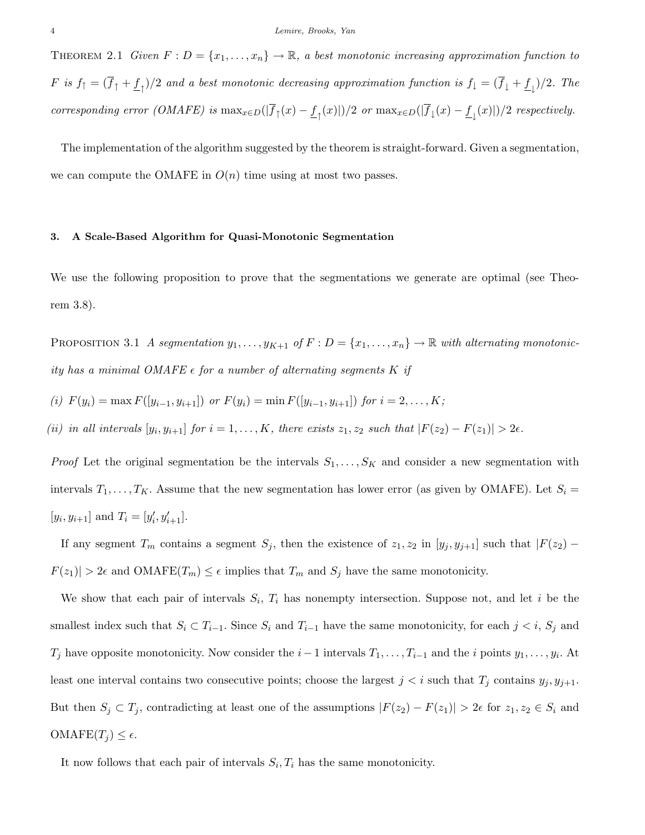THEOREM 2.1 Given  $F: D = \{x_1, \ldots, x_n\} \to \mathbb{R}$ , a best monotonic increasing approximation function to  $F$  is  $f_1=(f_1+\underline{f}_1)/2$  and a best monotonic decreasing approximation function is  $f_1=(f_1+\underline{f}_1)/2$ . The corresponding error (OMAFE) is  $\max_{x \in D}(|f_1(x) - \underline{f}_1(x)|)/2$  or  $\max_{x \in D}(|f_1(x) - \underline{f}_1(x)|)/2$  respectively.

The implementation of the algorithm suggested by the theorem is straight-forward. Given a segmentation, we can compute the OMAFE in  $O(n)$  time using at most two passes.

### 3. A Scale-Based Algorithm for Quasi-Monotonic Segmentation

We use the following proposition to prove that the segmentations we generate are optimal (see Theorem 3.8).

PROPOSITION 3.1 A segmentation  $y_1, \ldots, y_{K+1}$  of  $F : D = \{x_1, \ldots, x_n\} \to \mathbb{R}$  with alternating monotonicity has a minimal OMAFE  $\epsilon$  for a number of alternating segments  $K$  if

(i) 
$$
F(y_i) = \max F([y_{i-1}, y_{i+1}])
$$
 or  $F(y_i) = \min F([y_{i-1}, y_{i+1}])$  for  $i = 2, ..., K$ ;

(ii) in all intervals  $[y_i, y_{i+1}]$  for  $i = 1, ..., K$ , there exists  $z_1, z_2$  such that  $|F(z_2) - F(z_1)| > 2\epsilon$ .

*Proof* Let the original segmentation be the intervals  $S_1, \ldots, S_K$  and consider a new segmentation with intervals  $T_1, \ldots, T_K$ . Assume that the new segmentation has lower error (as given by OMAFE). Let  $S_i =$ [ $y_i, y_{i+1}$ ] and  $T_i = [y'_i, y'_{i+1}]$ .

If any segment  $T_m$  contains a segment  $S_j$ , then the existence of  $z_1, z_2$  in  $[y_j, y_{j+1}]$  such that  $|F(z_2) - F(z_1)|$  $F(z_1)| > 2\epsilon$  and OMAFE( $T_m$ )  $\leq \epsilon$  implies that  $T_m$  and  $S_j$  have the same monotonicity.

We show that each pair of intervals  $S_i$ ,  $T_i$  has nonempty intersection. Suppose not, and let i be the smallest index such that  $S_i \subset T_{i-1}$ . Since  $S_i$  and  $T_{i-1}$  have the same monotonicity, for each  $j < i$ ,  $S_j$  and  $T_j$  have opposite monotonicity. Now consider the  $i-1$  intervals  $T_1, \ldots, T_{i-1}$  and the i points  $y_1, \ldots, y_i$ . At least one interval contains two consecutive points; choose the largest  $j < i$  such that  $T_j$  contains  $y_j, y_{j+1}$ . But then  $S_j \subset T_j$ , contradicting at least one of the assumptions  $|F(z_2) - F(z_1)| > 2\epsilon$  for  $z_1, z_2 \in S_i$  and OMAFE $(T_j) \leq \epsilon$ .

It now follows that each pair of intervals  $S_i, T_i$  has the same monotonicity.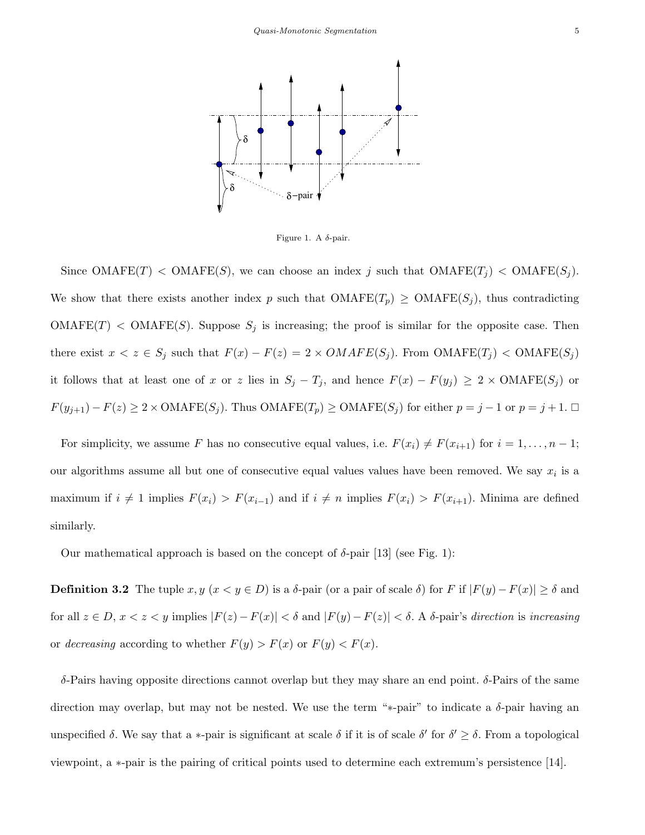

Figure 1. A  $\delta$ -pair.

Since OMAFE(T) < OMAFE(S), we can choose an index j such that  $OMAFE(T_j)$  <  $OMAFE(S_j)$ . We show that there exists another index p such that  $OMAFE(T_p) \geq OMAFE(S_i)$ , thus contradicting  $OMAFE(T) < OMAFE(S)$ . Suppose  $S_j$  is increasing; the proof is similar for the opposite case. Then there exist  $x < z \in S_j$  such that  $F(x) - F(z) = 2 \times OMAFE(S_j)$ . From  $OMAFE(T_j) < OMAFE(S_j)$ it follows that at least one of x or z lies in  $S_j - T_j$ , and hence  $F(x) - F(y_j) \geq 2 \times OMAFE(S_j)$  or  $F(y_{j+1}) - F(z) \ge 2 \times 0 \text{MAFE}(S_j)$ . Thus  $\text{OMAFE}(T_p) \ge 0 \text{MAFE}(S_j)$  for either  $p = j - 1$  or  $p = j + 1$ .  $\Box$ 

For simplicity, we assume F has no consecutive equal values, i.e.  $F(x_i) \neq F(x_{i+1})$  for  $i = 1, ..., n - 1$ ; our algorithms assume all but one of consecutive equal values values have been removed. We say  $x_i$  is a maximum if  $i \neq 1$  implies  $F(x_i) > F(x_{i-1})$  and if  $i \neq n$  implies  $F(x_i) > F(x_{i+1})$ . Minima are defined similarly.

Our mathematical approach is based on the concept of  $\delta$ -pair [13] (see Fig. 1):

**Definition 3.2** The tuple  $x, y \ (x \le y \in D)$  is a  $\delta$ -pair (or a pair of scale  $\delta$ ) for F if  $|F(y) - F(x)| \ge \delta$  and for all  $z \in D$ ,  $x < z < y$  implies  $|F(z) - F(x)| < \delta$  and  $|F(y) - F(z)| < \delta$ . A  $\delta$ -pair's direction is increasing or decreasing according to whether  $F(y) > F(x)$  or  $F(y) < F(x)$ .

δ-Pairs having opposite directions cannot overlap but they may share an end point. δ-Pairs of the same direction may overlap, but may not be nested. We use the term "∗-pair" to indicate a δ-pair having an unspecified  $\delta$ . We say that a \*-pair is significant at scale  $\delta$  if it is of scale  $\delta'$  for  $\delta' \geq \delta$ . From a topological viewpoint, a ∗-pair is the pairing of critical points used to determine each extremum's persistence [14].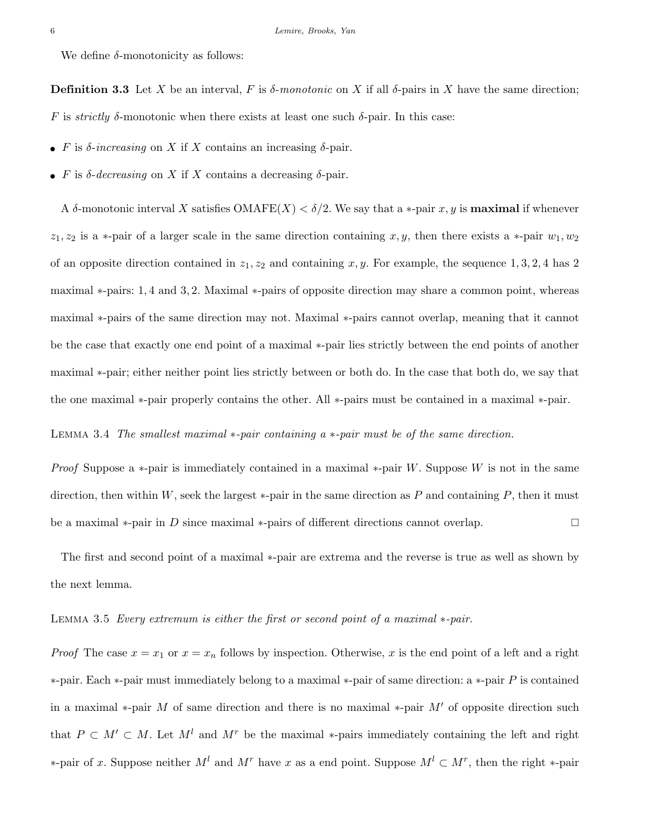We define  $\delta$ -monotonicity as follows:

**Definition 3.3** Let X be an interval, F is  $\delta$ -monotonic on X if all  $\delta$ -pairs in X have the same direction; F is strictly  $\delta$ -monotonic when there exists at least one such  $\delta$ -pair. In this case:

- F is  $\delta$ -increasing on X if X contains an increasing  $\delta$ -pair.
- F is  $\delta$ -decreasing on X if X contains a decreasing  $\delta$ -pair.

A  $\delta$ -monotonic interval X satisfies OMAFE(X) <  $\delta/2$ . We say that a \*-pair x, y is **maximal** if whenever  $z_1, z_2$  is a ∗-pair of a larger scale in the same direction containing x, y, then there exists a ∗-pair  $w_1, w_2$ of an opposite direction contained in  $z_1, z_2$  and containing x, y. For example, the sequence 1, 3, 2, 4 has 2 maximal ∗-pairs: 1, 4 and 3, 2. Maximal ∗-pairs of opposite direction may share a common point, whereas maximal ∗-pairs of the same direction may not. Maximal ∗-pairs cannot overlap, meaning that it cannot be the case that exactly one end point of a maximal ∗-pair lies strictly between the end points of another maximal ∗-pair; either neither point lies strictly between or both do. In the case that both do, we say that the one maximal ∗-pair properly contains the other. All ∗-pairs must be contained in a maximal ∗-pair.

Lemma 3.4 The smallest maximal ∗-pair containing a ∗-pair must be of the same direction.

*Proof* Suppose a  $*$ -pair is immediately contained in a maximal  $*$ -pair W. Suppose W is not in the same direction, then within W, seek the largest  $*$ -pair in the same direction as P and containing P, then it must be a maximal  $\ast$ -pair in D since maximal  $\ast$ -pairs of different directions cannot overlap.

The first and second point of a maximal ∗-pair are extrema and the reverse is true as well as shown by the next lemma.

### Lemma 3.5 Every extremum is either the first or second point of a maximal ∗-pair.

*Proof* The case  $x = x_1$  or  $x = x_n$  follows by inspection. Otherwise, x is the end point of a left and a right ∗-pair. Each ∗-pair must immediately belong to a maximal ∗-pair of same direction: a ∗-pair P is contained in a maximal \*-pair M of same direction and there is no maximal \*-pair  $M'$  of opposite direction such that  $P \subset M' \subset M$ . Let  $M^l$  and  $M^r$  be the maximal \*-pairs immediately containing the left and right ∗-pair of x. Suppose neither  $M<sup>l</sup>$  and  $M<sup>r</sup>$  have x as a end point. Suppose  $M<sup>l</sup> ⊂ M<sup>r</sup>$ , then the right  $*$ -pair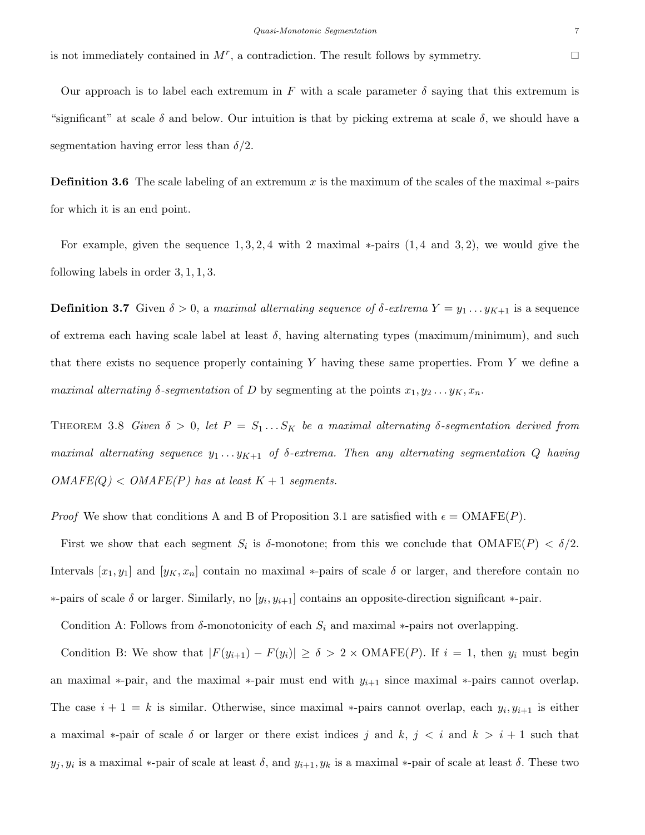is not immediately contained in  $M^r$ , a contradiction. The result follows by symmetry.

Our approach is to label each extremum in F with a scale parameter  $\delta$  saying that this extremum is "significant" at scale  $\delta$  and below. Our intuition is that by picking extrema at scale  $\delta$ , we should have a segmentation having error less than  $\delta/2$ .

**Definition 3.6** The scale labeling of an extremum x is the maximum of the scales of the maximal  $*$ -pairs for which it is an end point.

For example, given the sequence  $1, 3, 2, 4$  with 2 maximal  $*$ -pairs  $(1, 4 \text{ and } 3, 2)$ , we would give the following labels in order 3, 1, 1, 3.

**Definition 3.7** Given  $\delta > 0$ , a maximal alternating sequence of  $\delta$ -extrema  $Y = y_1 \dots y_{K+1}$  is a sequence of extrema each having scale label at least  $\delta$ , having alternating types (maximum/minimum), and such that there exists no sequence properly containing Y having these same properties. From Y we define a maximal alternating  $\delta$ -segmentation of D by segmenting at the points  $x_1, y_2 \ldots y_K, x_n$ .

THEOREM 3.8 Given  $\delta > 0$ , let  $P = S_1 ... S_K$  be a maximal alternating  $\delta$ -segmentation derived from maximal alternating sequence  $y_1 \ldots y_{K+1}$  of  $\delta$ -extrema. Then any alternating segmentation Q having  $OMAFE(Q) < OMAFE(P)$  has at least  $K + 1$  segments.

*Proof* We show that conditions A and B of Proposition 3.1 are satisfied with  $\epsilon = \text{OMAFE}(P)$ .

First we show that each segment  $S_i$  is  $\delta$ -monotone; from this we conclude that  $\text{OMAFE}(P) < \delta/2$ . Intervals  $[x_1, y_1]$  and  $[y_K, x_n]$  contain no maximal \*-pairs of scale  $\delta$  or larger, and therefore contain no  $*$ -pairs of scale δ or larger. Similarly, no [ $y_i, y_{i+1}$ ] contains an opposite-direction significant  $*$ -pair.

Condition A: Follows from  $\delta$ -monotonicity of each  $S_i$  and maximal ∗-pairs not overlapping.

Condition B: We show that  $|F(y_{i+1}) - F(y_i)| \ge \delta > 2 \times \text{OMAFE}(P)$ . If  $i = 1$ , then  $y_i$  must begin an maximal \*-pair, and the maximal \*-pair must end with  $y_{i+1}$  since maximal \*-pairs cannot overlap. The case  $i + 1 = k$  is similar. Otherwise, since maximal \*-pairs cannot overlap, each  $y_i, y_{i+1}$  is either a maximal \*-pair of scale  $\delta$  or larger or there exist indices j and  $k, j \leq i$  and  $k > i + 1$  such that  $y_j, y_i$  is a maximal \*-pair of scale at least  $\delta$ , and  $y_{i+1}, y_k$  is a maximal \*-pair of scale at least  $\delta$ . These two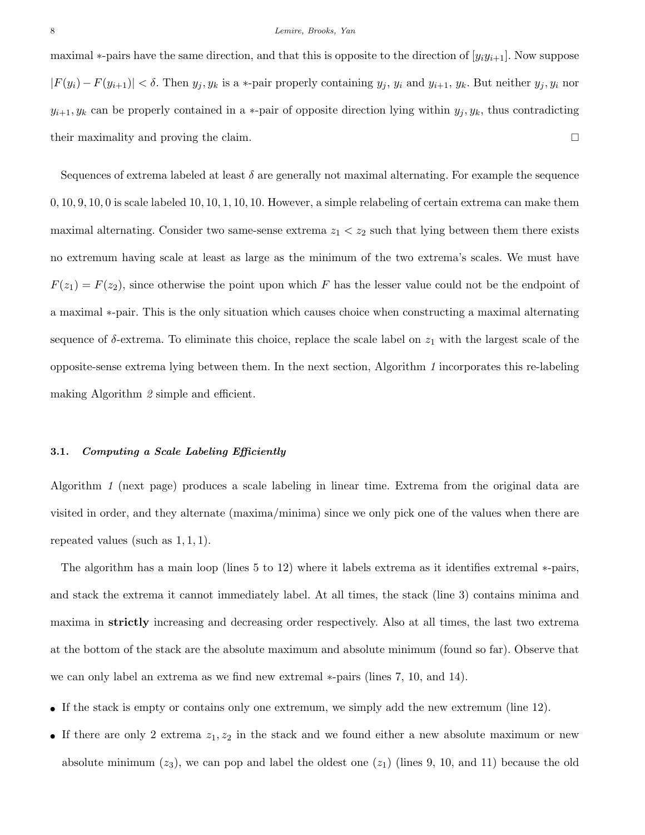maximal  $*$ -pairs have the same direction, and that this is opposite to the direction of  $[y_i y_{i+1}]$ . Now suppose  $|F(y_i) - F(y_{i+1})| < \delta$ . Then  $y_j, y_k$  is a \*-pair properly containing  $y_j, y_i$  and  $y_{i+1}, y_k$ . But neither  $y_j, y_i$  nor  $y_{i+1}, y_k$  can be properly contained in a \*-pair of opposite direction lying within  $y_j, y_k$ , thus contradicting their maximality and proving the claim.

Sequences of extrema labeled at least  $\delta$  are generally not maximal alternating. For example the sequence 0, 10, 9, 10, 0 is scale labeled 10, 10, 1, 10, 10. However, a simple relabeling of certain extrema can make them maximal alternating. Consider two same-sense extrema  $z_1 < z_2$  such that lying between them there exists no extremum having scale at least as large as the minimum of the two extrema's scales. We must have  $F(z_1) = F(z_2)$ , since otherwise the point upon which F has the lesser value could not be the endpoint of a maximal ∗-pair. This is the only situation which causes choice when constructing a maximal alternating sequence of  $\delta$ -extrema. To eliminate this choice, replace the scale label on  $z_1$  with the largest scale of the opposite-sense extrema lying between them. In the next section, Algorithm 1 incorporates this re-labeling making Algorithm 2 simple and efficient.

# 3.1. Computing a Scale Labeling Efficiently

Algorithm 1 (next page) produces a scale labeling in linear time. Extrema from the original data are visited in order, and they alternate (maxima/minima) since we only pick one of the values when there are repeated values (such as  $1, 1, 1$ ).

The algorithm has a main loop (lines 5 to 12) where it labels extrema as it identifies extremal ∗-pairs, and stack the extrema it cannot immediately label. At all times, the stack (line 3) contains minima and maxima in strictly increasing and decreasing order respectively. Also at all times, the last two extrema at the bottom of the stack are the absolute maximum and absolute minimum (found so far). Observe that we can only label an extrema as we find new extremal ∗-pairs (lines 7, 10, and 14).

- If the stack is empty or contains only one extremum, we simply add the new extremum (line 12).
- If there are only 2 extrema  $z_1, z_2$  in the stack and we found either a new absolute maximum or new absolute minimum  $(z_3)$ , we can pop and label the oldest one  $(z_1)$  (lines 9, 10, and 11) because the old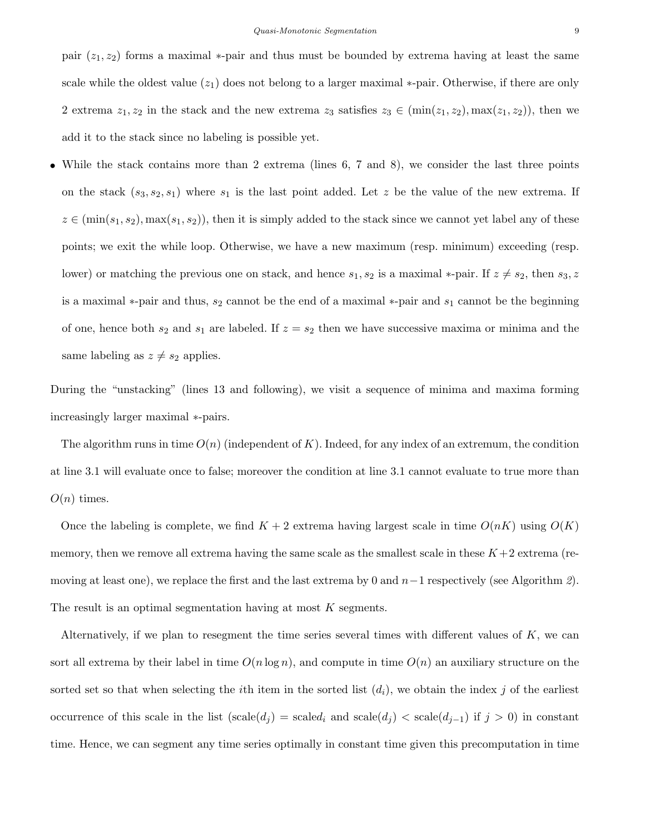pair  $(z_1, z_2)$  forms a maximal \*-pair and thus must be bounded by extrema having at least the same scale while the oldest value  $(z_1)$  does not belong to a larger maximal  $*$ -pair. Otherwise, if there are only 2 extrema  $z_1, z_2$  in the stack and the new extrema  $z_3$  satisfies  $z_3 \in (\min(z_1, z_2), \max(z_1, z_2))$ , then we add it to the stack since no labeling is possible yet.

• While the stack contains more than 2 extrema (lines 6, 7 and 8), we consider the last three points on the stack  $(s_3, s_2, s_1)$  where  $s_1$  is the last point added. Let z be the value of the new extrema. If  $z \in (\min(s_1, s_2), \max(s_1, s_2))$ , then it is simply added to the stack since we cannot yet label any of these points; we exit the while loop. Otherwise, we have a new maximum (resp. minimum) exceeding (resp. lower) or matching the previous one on stack, and hence  $s_1, s_2$  is a maximal \*-pair. If  $z \neq s_2$ , then  $s_3, z$ is a maximal  $*$ -pair and thus,  $s_2$  cannot be the end of a maximal  $*$ -pair and  $s_1$  cannot be the beginning of one, hence both  $s_2$  and  $s_1$  are labeled. If  $z = s_2$  then we have successive maxima or minima and the same labeling as  $z \neq s_2$  applies.

During the "unstacking" (lines 13 and following), we visit a sequence of minima and maxima forming increasingly larger maximal ∗-pairs.

The algorithm runs in time  $O(n)$  (independent of K). Indeed, for any index of an extremum, the condition at line 3.1 will evaluate once to false; moreover the condition at line 3.1 cannot evaluate to true more than  $O(n)$  times.

Once the labeling is complete, we find  $K + 2$  extrema having largest scale in time  $O(nK)$  using  $O(K)$ memory, then we remove all extrema having the same scale as the smallest scale in these  $K+2$  extrema (removing at least one), we replace the first and the last extrema by 0 and  $n-1$  respectively (see Algorithm 2). The result is an optimal segmentation having at most  $K$  segments.

Alternatively, if we plan to resegment the time series several times with different values of  $K$ , we can sort all extrema by their label in time  $O(n \log n)$ , and compute in time  $O(n)$  an auxiliary structure on the sorted set so that when selecting the *i*th item in the sorted list  $(d_i)$ , we obtain the index j of the earliest occurrence of this scale in the list  $(scale(d_i) = scaled_i \text{ and } scale(d_i) < scale(d_{i-1})$  if  $j > 0$ ) in constant time. Hence, we can segment any time series optimally in constant time given this precomputation in time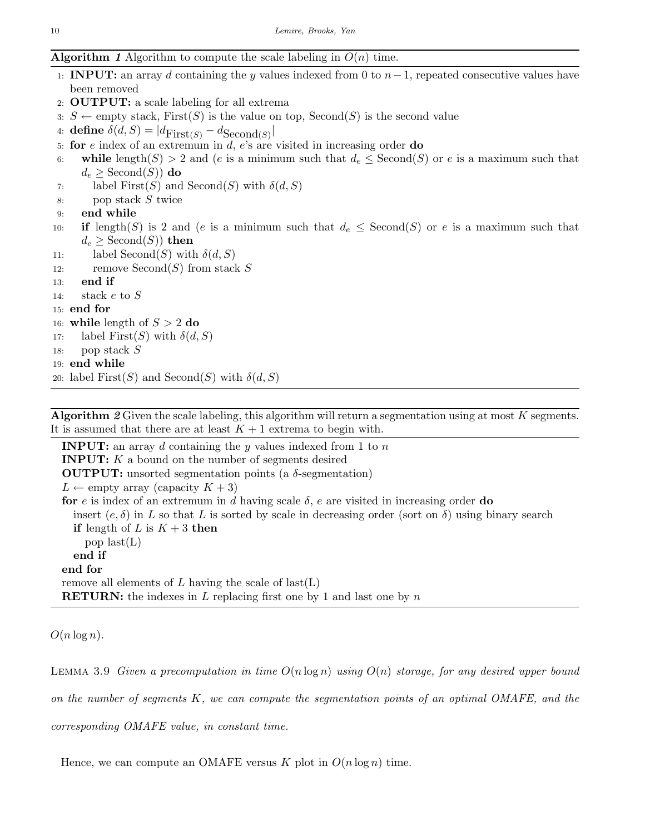# **Algorithm 1** Algorithm to compute the scale labeling in  $O(n)$  time.

- 1: **INPUT:** an array d containing the y values indexed from 0 to  $n-1$ , repeated consecutive values have been removed
- 2: OUTPUT: a scale labeling for all extrema
- 3:  $S \leftarrow \text{empty stack},$  First(S) is the value on top, Second(S) is the second value
- 4: define  $\delta(d, S) = |d_{\text{First}(S)} d_{\text{Second}(S)}|$
- 5: for  $e$  index of an extremum in  $d, e$ 's are visited in increasing order do
- 6: while length(S) > 2 and (e is a minimum such that  $d_e \leq$  Second(S) or e is a maximum such that  $d_e \geq$  Second $(S)$ ) do
- 7: label  $First(S)$  and  $Second(S)$  with  $\delta(d, S)$
- 8: pop stack S twice

```
9: end while
```
- 10: if length(S) is 2 and (e is a minimum such that  $d_e \leq$  Second(S) or e is a maximum such that  $d_e \geq$  Second $(S)$ ) then
- 11: label Second(S) with  $\delta(d, S)$
- 12: remove  $\mathrm{Second}(S)$  from stack S
- 13: end if

```
14: stack e to S
```
- 15: end for
- 16: while length of  $S > 2$  do
- 17: label First(S) with  $\delta(d, S)$
- 18: pop stack  $S$
- 19: end while
- 20: label First(S) and Second(S) with  $\delta(d, S)$

Algorithm  $2$  Given the scale labeling, this algorithm will return a segmentation using at most  $K$  segments. It is assumed that there are at least  $K + 1$  extrema to begin with.

**INPUT:** an array d containing the y values indexed from 1 to  $n$ INPUT: K a bound on the number of segments desired **OUTPUT:** unsorted segmentation points (a  $\delta$ -segmentation)  $L \leftarrow$  empty array (capacity  $K + 3$ ) for e is index of an extremum in d having scale  $\delta$ , e are visited in increasing order do insert  $(e, \delta)$  in L so that L is sorted by scale in decreasing order (sort on  $\delta$ ) using binary search if length of L is  $K + 3$  then pop  $last(L)$ end if end for remove all elements of L having the scale of  $last(L)$ **RETURN:** the indexes in  $L$  replacing first one by 1 and last one by  $n$ 

 $O(n \log n)$ .

LEMMA 3.9 Given a precomputation in time  $O(n \log n)$  using  $O(n)$  storage, for any desired upper bound on the number of segments  $K$ , we can compute the segmentation points of an optimal OMAFE, and the corresponding OMAFE value, in constant time.

Hence, we can compute an OMAFE versus K plot in  $O(n \log n)$  time.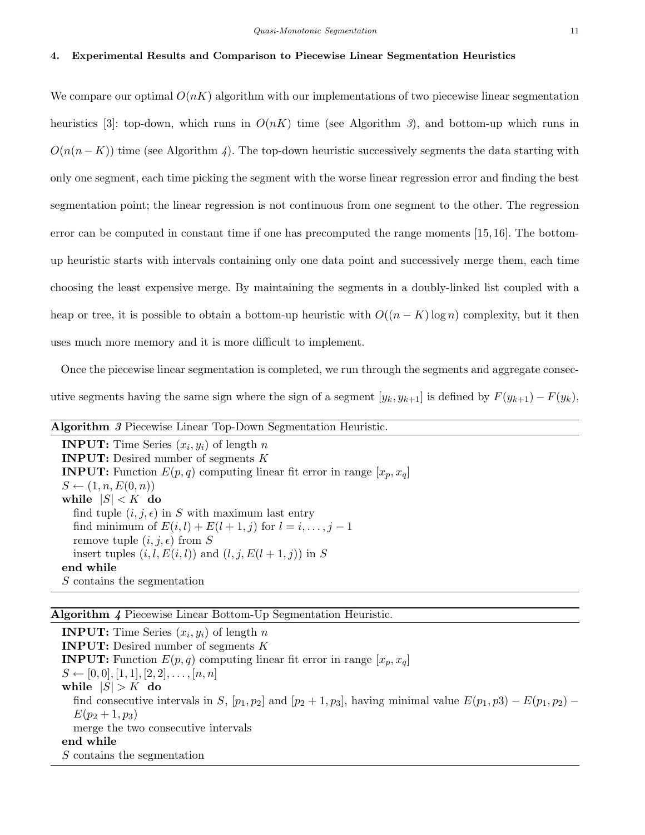#### 4. Experimental Results and Comparison to Piecewise Linear Segmentation Heuristics

We compare our optimal  $O(nK)$  algorithm with our implementations of two piecewise linear segmentation heuristics [3]: top-down, which runs in  $O(nK)$  time (see Algorithm 3), and bottom-up which runs in  $O(n(n-K))$  time (see Algorithm 4). The top-down heuristic successively segments the data starting with only one segment, each time picking the segment with the worse linear regression error and finding the best segmentation point; the linear regression is not continuous from one segment to the other. The regression error can be computed in constant time if one has precomputed the range moments [15, 16]. The bottomup heuristic starts with intervals containing only one data point and successively merge them, each time choosing the least expensive merge. By maintaining the segments in a doubly-linked list coupled with a heap or tree, it is possible to obtain a bottom-up heuristic with  $O((n - K) \log n)$  complexity, but it then uses much more memory and it is more difficult to implement.

Once the piecewise linear segmentation is completed, we run through the segments and aggregate consecutive segments having the same sign where the sign of a segment  $[y_k, y_{k+1}]$  is defined by  $F(y_{k+1}) - F(y_k)$ ,

| <b>Algorithm 3 Piecewise Linear Top-Down Segmentation Heuristic.</b>             |
|----------------------------------------------------------------------------------|
| <b>INPUT:</b> Time Series $(x_i, y_i)$ of length n                               |
| <b>INPUT:</b> Desired number of segments $K$                                     |
| <b>INPUT:</b> Function $E(p,q)$ computing linear fit error in range $[x_p, x_q]$ |
| $S \leftarrow (1, n, E(0, n))$                                                   |
| while $ S  < K$ do                                                               |
| find tuple $(i, j, \epsilon)$ in S with maximum last entry                       |
| find minimum of $E(i, l) + E(l+1, j)$ for $l = i, \ldots, j-1$                   |
| remove tuple $(i, j, \epsilon)$ from S                                           |
| insert tuples $(i, l, E(i, l))$ and $(l, j, E(l+1, j))$ in S                     |
| end while                                                                        |
| S contains the segmentation                                                      |

# Algorithm 4 Piecewise Linear Bottom-Up Segmentation Heuristic.

**INPUT:** Time Series  $(x_i, y_i)$  of length n INPUT: Desired number of segments K **INPUT:** Function  $E(p,q)$  computing linear fit error in range  $[x_p, x_q]$  $S \leftarrow [0, 0], [1, 1], [2, 2], \ldots, [n, n]$ while  $|S| > K$  do find consecutive intervals in S,  $[p_1, p_2]$  and  $[p_2 + 1, p_3]$ , having minimal value  $E(p_1, p_3) - E(p_1, p_2)$  $E(p_2 + 1, p_3)$ merge the two consecutive intervals end while S contains the segmentation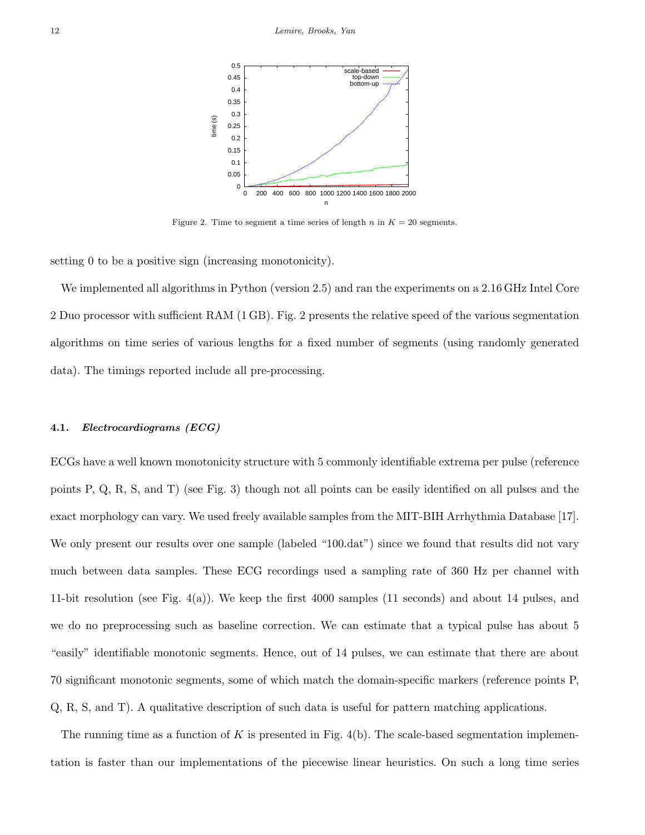

Figure 2. Time to segment a time series of length n in  $K = 20$  segments.

setting 0 to be a positive sign (increasing monotonicity).

We implemented all algorithms in Python (version 2.5) and ran the experiments on a 2.16 GHz Intel Core 2 Duo processor with sufficient RAM (1 GB). Fig. 2 presents the relative speed of the various segmentation algorithms on time series of various lengths for a fixed number of segments (using randomly generated data). The timings reported include all pre-processing.

### 4.1. Electrocardiograms (ECG)

ECGs have a well known monotonicity structure with 5 commonly identifiable extrema per pulse (reference points P, Q, R, S, and T) (see Fig. 3) though not all points can be easily identified on all pulses and the exact morphology can vary. We used freely available samples from the MIT-BIH Arrhythmia Database [17]. We only present our results over one sample (labeled "100.dat") since we found that results did not vary much between data samples. These ECG recordings used a sampling rate of 360 Hz per channel with 11-bit resolution (see Fig. 4(a)). We keep the first 4000 samples (11 seconds) and about 14 pulses, and we do no preprocessing such as baseline correction. We can estimate that a typical pulse has about 5 "easily" identifiable monotonic segments. Hence, out of 14 pulses, we can estimate that there are about 70 significant monotonic segments, some of which match the domain-specific markers (reference points P, Q, R, S, and T). A qualitative description of such data is useful for pattern matching applications.

The running time as a function of  $K$  is presented in Fig. 4(b). The scale-based segmentation implementation is faster than our implementations of the piecewise linear heuristics. On such a long time series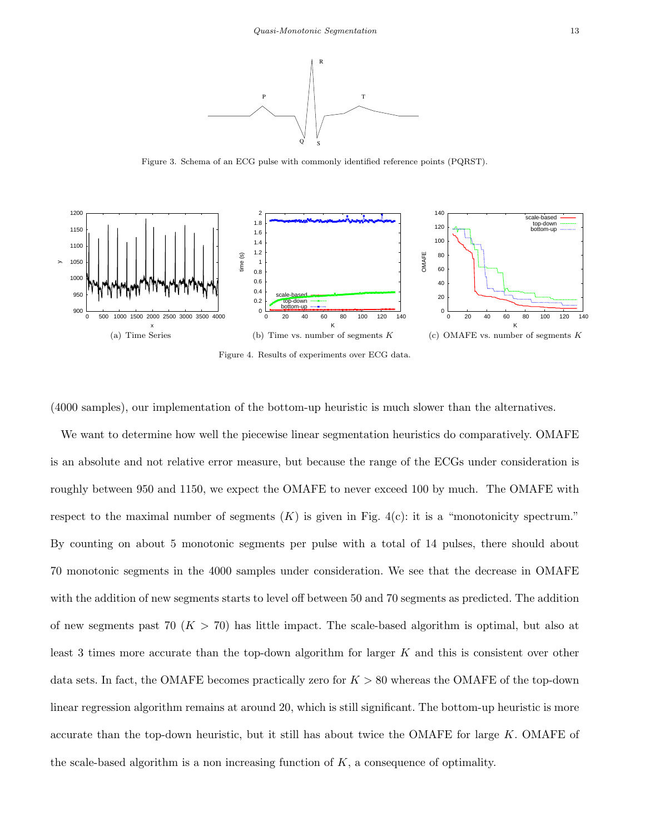

Figure 3. Schema of an ECG pulse with commonly identified reference points (PQRST).



Figure 4. Results of experiments over ECG data.

(4000 samples), our implementation of the bottom-up heuristic is much slower than the alternatives.

We want to determine how well the piecewise linear segmentation heuristics do comparatively. OMAFE is an absolute and not relative error measure, but because the range of the ECGs under consideration is roughly between 950 and 1150, we expect the OMAFE to never exceed 100 by much. The OMAFE with respect to the maximal number of segments  $(K)$  is given in Fig. 4(c): it is a "monotonicity spectrum." By counting on about 5 monotonic segments per pulse with a total of 14 pulses, there should about 70 monotonic segments in the 4000 samples under consideration. We see that the decrease in OMAFE with the addition of new segments starts to level off between 50 and 70 segments as predicted. The addition of new segments past 70 ( $K > 70$ ) has little impact. The scale-based algorithm is optimal, but also at least 3 times more accurate than the top-down algorithm for larger K and this is consistent over other data sets. In fact, the OMAFE becomes practically zero for  $K > 80$  whereas the OMAFE of the top-down linear regression algorithm remains at around 20, which is still significant. The bottom-up heuristic is more accurate than the top-down heuristic, but it still has about twice the OMAFE for large  $K$ . OMAFE of the scale-based algorithm is a non increasing function of  $K$ , a consequence of optimality.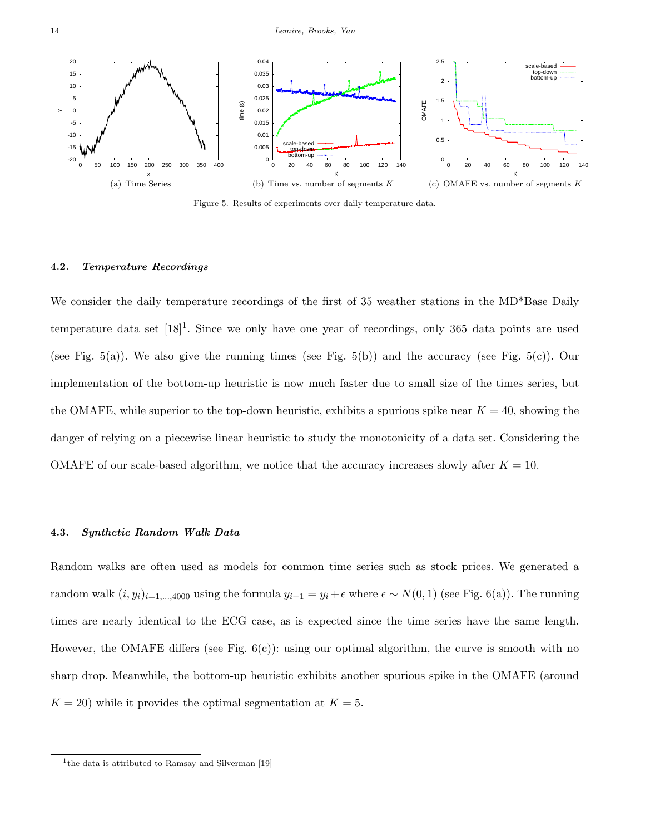

Figure 5. Results of experiments over daily temperature data.

#### 4.2. Temperature Recordings

We consider the daily temperature recordings of the first of 35 weather stations in the MD\*Base Daily temperature data set  $[18]^1$ . Since we only have one year of recordings, only 365 data points are used (see Fig. 5(a)). We also give the running times (see Fig. 5(b)) and the accuracy (see Fig. 5(c)). Our implementation of the bottom-up heuristic is now much faster due to small size of the times series, but the OMAFE, while superior to the top-down heuristic, exhibits a spurious spike near  $K = 40$ , showing the danger of relying on a piecewise linear heuristic to study the monotonicity of a data set. Considering the OMAFE of our scale-based algorithm, we notice that the accuracy increases slowly after  $K = 10$ .

# 4.3. Synthetic Random Walk Data

Random walks are often used as models for common time series such as stock prices. We generated a random walk  $(i, y_i)_{i=1,\dots,4000}$  using the formula  $y_{i+1} = y_i + \epsilon$  where  $\epsilon \sim N(0, 1)$  (see Fig. 6(a)). The running times are nearly identical to the ECG case, as is expected since the time series have the same length. However, the OMAFE differs (see Fig.  $6(c)$ ): using our optimal algorithm, the curve is smooth with no sharp drop. Meanwhile, the bottom-up heuristic exhibits another spurious spike in the OMAFE (around  $K = 20$ ) while it provides the optimal segmentation at  $K = 5$ .

<sup>&</sup>lt;sup>1</sup>the data is attributed to Ramsay and Silverman [19]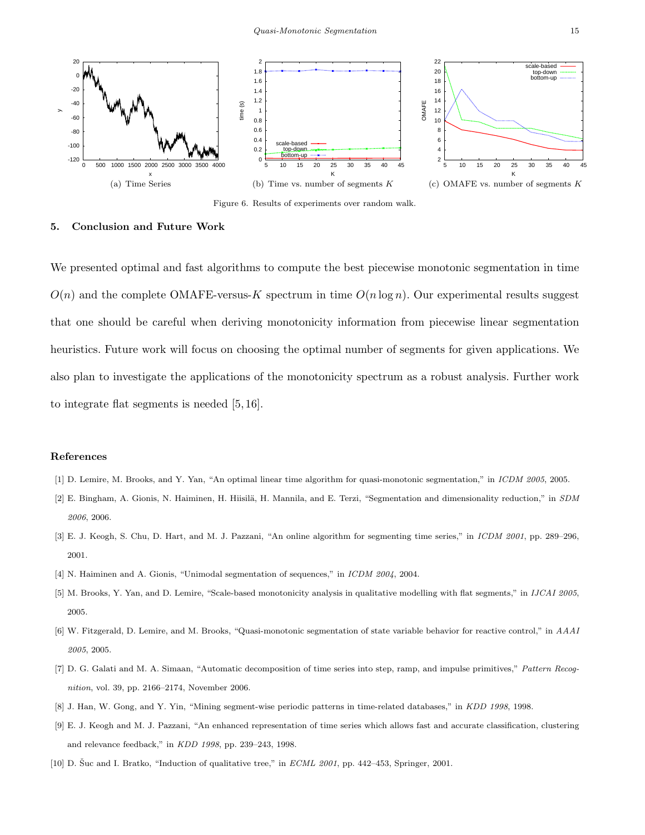

Figure 6. Results of experiments over random walk.

#### 5. Conclusion and Future Work

We presented optimal and fast algorithms to compute the best piecewise monotonic segmentation in time  $O(n)$  and the complete OMAFE-versus-K spectrum in time  $O(n \log n)$ . Our experimental results suggest that one should be careful when deriving monotonicity information from piecewise linear segmentation heuristics. Future work will focus on choosing the optimal number of segments for given applications. We also plan to investigate the applications of the monotonicity spectrum as a robust analysis. Further work to integrate flat segments is needed [5, 16].

### References

- [1] D. Lemire, M. Brooks, and Y. Yan, "An optimal linear time algorithm for quasi-monotonic segmentation," in ICDM 2005, 2005.
- [2] E. Bingham, A. Gionis, N. Haiminen, H. Hiisilä, H. Mannila, and E. Terzi, "Segmentation and dimensionality reduction," in SDM 2006, 2006.
- [3] E. J. Keogh, S. Chu, D. Hart, and M. J. Pazzani, "An online algorithm for segmenting time series," in ICDM 2001, pp. 289–296, 2001.
- [4] N. Haiminen and A. Gionis, "Unimodal segmentation of sequences," in ICDM 2004, 2004.
- [5] M. Brooks, Y. Yan, and D. Lemire, "Scale-based monotonicity analysis in qualitative modelling with flat segments," in IJCAI 2005, 2005.
- [6] W. Fitzgerald, D. Lemire, and M. Brooks, "Quasi-monotonic segmentation of state variable behavior for reactive control," in AAAI 2005, 2005.
- [7] D. G. Galati and M. A. Simaan, "Automatic decomposition of time series into step, ramp, and impulse primitives," Pattern Recognition, vol. 39, pp. 2166–2174, November 2006.
- [8] J. Han, W. Gong, and Y. Yin, "Mining segment-wise periodic patterns in time-related databases," in KDD 1998, 1998.
- [9] E. J. Keogh and M. J. Pazzani, "An enhanced representation of time series which allows fast and accurate classification, clustering and relevance feedback," in KDD 1998, pp. 239–243, 1998.
- [10] D. Šuc and I. Bratko, "Induction of qualitative tree," in  $ECML$  2001, pp. 442–453, Springer, 2001.